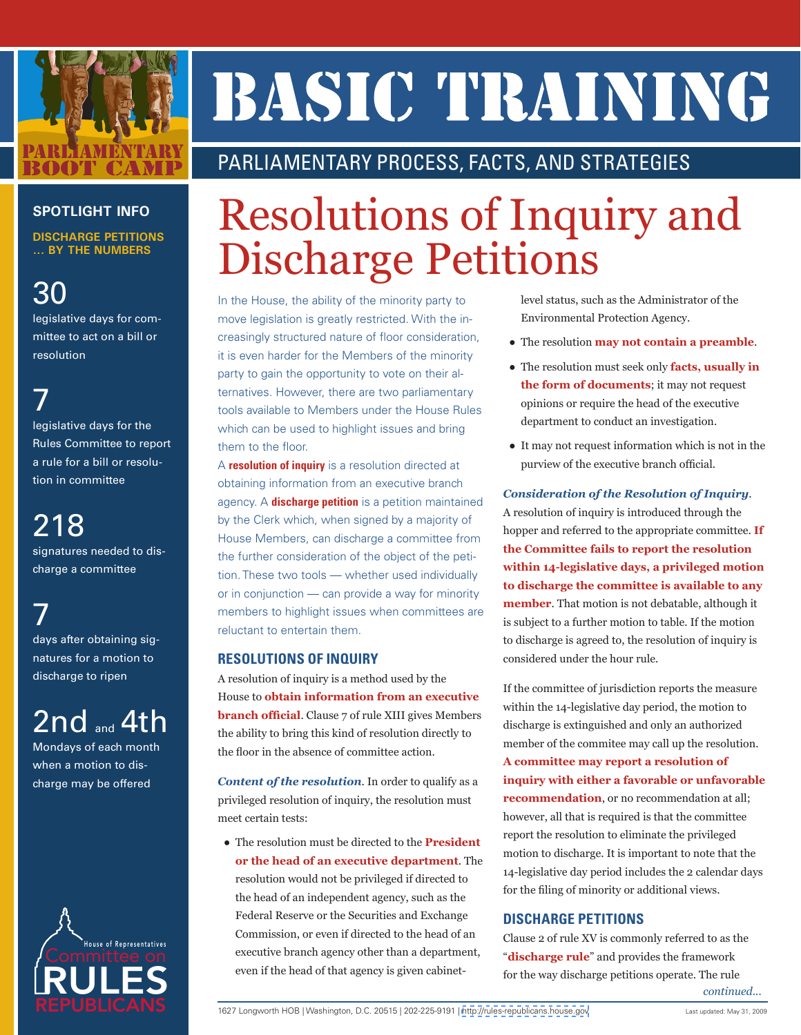

# BASIC TIRAINING

### PARLIAMENTARY PROCESS, FACTS, AND STRATEGIES

#### **SPOTLIGHT INFO**

**DISCHARGE PETITIONS ... BY THE NUMBERS**

30 legislative days for committee to act on a bill or resolution

7 legislative days for the Rules Committee to report a rule for a bill or resolution in committee

218 signatures needed to discharge a committee

7 days after obtaining signatures for a motion to discharge to ripen

2nd and 4th

Mondays of each month when a motion to discharge may be offered



## Resolutions of Inquiry and Discharge Petitions

In the House, the ability of the minority party to move legislation is greatly restricted. With the increasingly structured nature of floor consideration, it is even harder for the Members of the minority party to gain the opportunity to vote on their alternatives. However, there are two parliamentary tools available to Members under the House Rules which can be used to highlight issues and bring them to the floor.

A **resolution of inquiry** is a resolution directed at obtaining information from an executive branch agency. A **discharge petition** is a petition maintained by the Clerk which, when signed by a majority of House Members, can discharge a committee from the further consideration of the object of the petition. These two tools — whether used individually or in conjunction — can provide a way for minority members to highlight issues when committees are reluctant to entertain them.

#### **RESOLUTIONS OF INQUIRY**

A resolution of inquiry is a method used by the House to **obtain information from an executive branch official**. Clause 7 of rule XIII gives Members the ability to bring this kind of resolution directly to the floor in the absence of committee action.

*Content of the resolution*. In order to qualify as a privileged resolution of inquiry, the resolution must meet certain tests:

● The resolution must be directed to the **President or the head of an executive department**. The resolution would not be privileged if directed to the head of an independent agency, such as the Federal Reserve or the Securities and Exchange Commission, or even if directed to the head of an executive branch agency other than a department, even if the head of that agency is given cabinetlevel status, such as the Administrator of the Environmental Protection Agency.

- The resolution **may not contain a preamble**.
- The resolution must seek only **facts, usually in the form of documents**; it may not request opinions or require the head of the executive department to conduct an investigation.
- It may not request information which is not in the purview of the executive branch official.

#### *Consideration of the Resolution of Inquiry*.

A resolution of inquiry is introduced through the hopper and referred to the appropriate committee. **If the Committee fails to report the resolution within 14-legislative days, a privileged motion to discharge the committee is available to any member**. That motion is not debatable, although it is subject to a further motion to table. If the motion to discharge is agreed to, the resolution of inquiry is considered under the hour rule.

If the committee of jurisdiction reports the measure within the 14-legislative day period, the motion to discharge is extinguished and only an authorized member of the commitee may call up the resolution. **A committee may report a resolution of inquiry with either a favorable or unfavorable recommendation**, or no recommendation at all; however, all that is required is that the committee report the resolution to eliminate the privileged motion to discharge. It is important to note that the 14-legislative day period includes the 2 calendar days for the filing of minority or additional views.

#### **DISCHARGE PETITIONS**

Clause 2 of rule XV is commonly referred to as the "**discharge rule**" and provides the framework for the way discharge petitions operate. The rule *continued...*